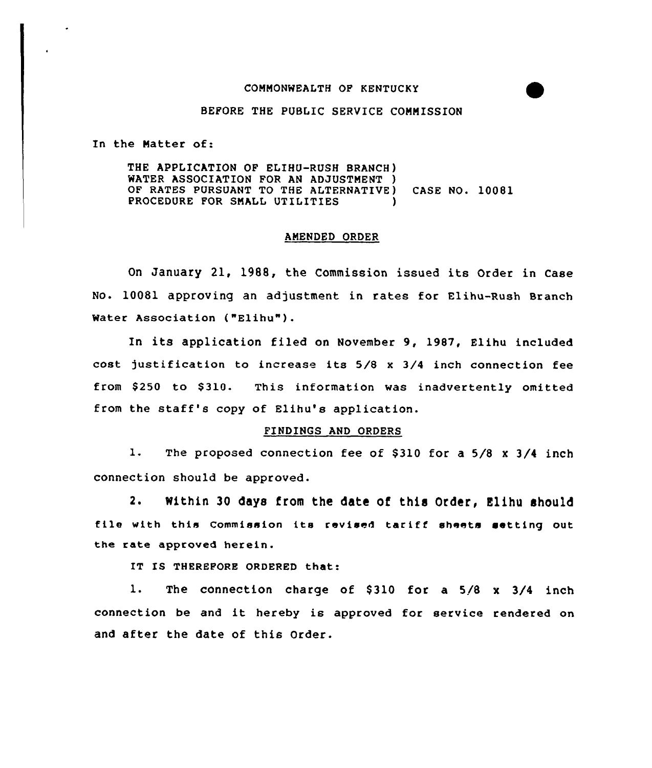## COMMONWEALTH OF KENTUCKY

## BEFORE THE PUBLIC SERVICE COMMISSION

In the Matter of:

THE APPLICATION OF ELIHU-RUSH BRANCH) WATER ASSOCIATION FOR AN ADJUSTMENT ) OF RATES PURSUANT TO THE ALTERNATIVE) CASE NO. 10081 PROCEDURE FOR SMALL UTILITIES

## AMENDED ORDER

On January 21, 1988, the Commission issued its Order in Case No. 10081 approving an adjustment in rates for Elihu-Rush Branch Water Association ("Elihu").

In its application filed on November 9, 1987, Elihu included cost justification to increase its 5/8 <sup>x</sup> 3/4 inch connection fee from \$250 to \$310. This information was inadvertently omitted from the staff's copy of Elihu's application.

## FINDINGS AND ORDERS

1. The proposed connection fee of \$310 for a 5/8 x 3/4 inch connection should be approved.

2. Within 30 days from the date of this Order, Elihu should file with this Commission its revised tariff sheets setting out the rate approved herein.

IT IS THEREFORE ORDERED that:

1. The connection charge of \$310 for a 5/8 x 3/4 inch connection be and it hereby is approved for service rendered on and after the date of this Order.